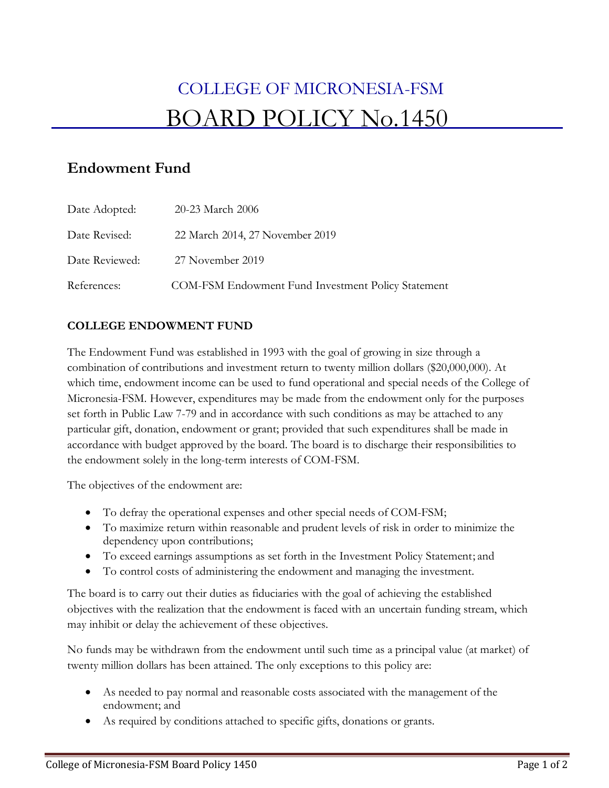## COLLEGE OF MICRONESIA-FSM BOARD POLICY No.1450

## **Endowment Fund**

| Date Adopted:  | 20-23 March 2006                                          |
|----------------|-----------------------------------------------------------|
| Date Revised:  | 22 March 2014, 27 November 2019                           |
| Date Reviewed: | 27 November 2019                                          |
| References:    | <b>COM-FSM Endowment Fund Investment Policy Statement</b> |

## **COLLEGE ENDOWMENT FUND**

The Endowment Fund was established in 1993 with the goal of growing in size through a combination of contributions and investment return to twenty million dollars (\$20,000,000). At which time, endowment income can be used to fund operational and special needs of the College of Micronesia-FSM. However, expenditures may be made from the endowment only for the purposes set forth in Public Law 7-79 and in accordance with such conditions as may be attached to any particular gift, donation, endowment or grant; provided that such expenditures shall be made in accordance with budget approved by the board. The board is to discharge their responsibilities to the endowment solely in the long-term interests of COM-FSM.

The objectives of the endowment are:

- To defray the operational expenses and other special needs of COM-FSM;
- To maximize return within reasonable and prudent levels of risk in order to minimize the dependency upon contributions;
- To exceed earnings assumptions as set forth in the Investment Policy Statement; and
- To control costs of administering the endowment and managing the investment.

The board is to carry out their duties as fiduciaries with the goal of achieving the established objectives with the realization that the endowment is faced with an uncertain funding stream, which may inhibit or delay the achievement of these objectives.

No funds may be withdrawn from the endowment until such time as a principal value (at market) of twenty million dollars has been attained. The only exceptions to this policy are:

- As needed to pay normal and reasonable costs associated with the management of the endowment; and
- As required by conditions attached to specific gifts, donations or grants.